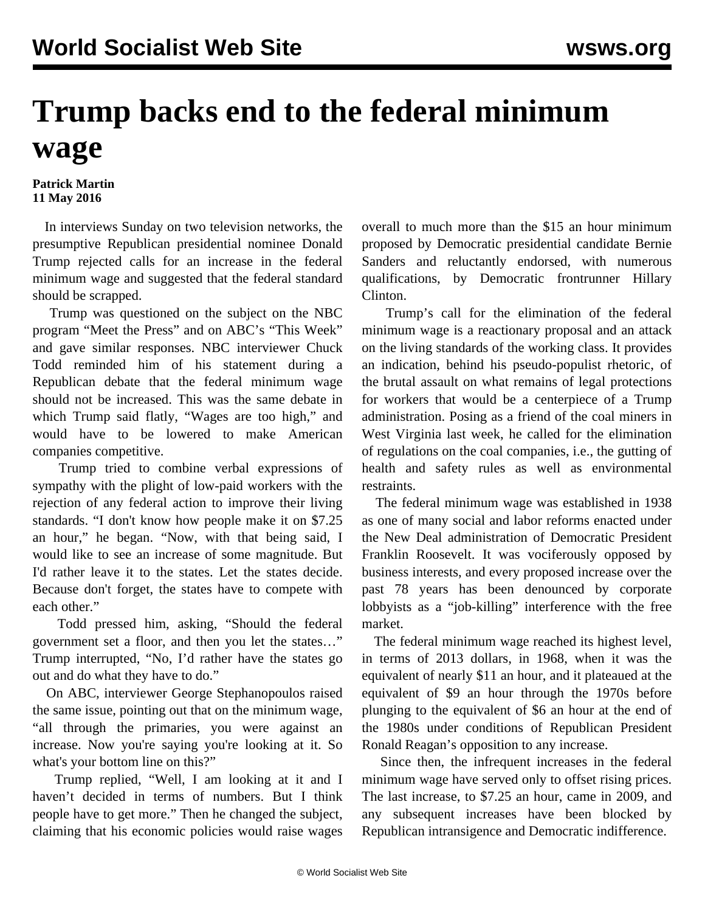## **Trump backs end to the federal minimum wage**

## **Patrick Martin 11 May 2016**

 In interviews Sunday on two television networks, the presumptive Republican presidential nominee Donald Trump rejected calls for an increase in the federal minimum wage and suggested that the federal standard should be scrapped.

 Trump was questioned on the subject on the NBC program "Meet the Press" and on ABC's "This Week" and gave similar responses. NBC interviewer Chuck Todd reminded him of his statement during a Republican debate that the federal minimum wage should not be increased. This was the same debate in which Trump said flatly, "Wages are too high," and would have to be lowered to make American companies competitive.

 Trump tried to combine verbal expressions of sympathy with the plight of low-paid workers with the rejection of any federal action to improve their living standards. "I don't know how people make it on \$7.25 an hour," he began. "Now, with that being said, I would like to see an increase of some magnitude. But I'd rather leave it to the states. Let the states decide. Because don't forget, the states have to compete with each other."

 Todd pressed him, asking, "Should the federal government set a floor, and then you let the states…" Trump interrupted, "No, I'd rather have the states go out and do what they have to do."

 On ABC, interviewer George Stephanopoulos raised the same issue, pointing out that on the minimum wage, "all through the primaries, you were against an increase. Now you're saying you're looking at it. So what's your bottom line on this?"

 Trump replied, "Well, I am looking at it and I haven't decided in terms of numbers. But I think people have to get more." Then he changed the subject, claiming that his economic policies would raise wages

overall to much more than the \$15 an hour minimum proposed by Democratic presidential candidate Bernie Sanders and reluctantly endorsed, with numerous qualifications, by Democratic frontrunner Hillary Clinton.

 Trump's call for the elimination of the federal minimum wage is a reactionary proposal and an attack on the living standards of the working class. It provides an indication, behind his pseudo-populist rhetoric, of the brutal assault on what remains of legal protections for workers that would be a centerpiece of a Trump administration. Posing as a friend of the coal miners in West Virginia last week, he called for the elimination of regulations on the coal companies, i.e., the gutting of health and safety rules as well as environmental restraints.

 The federal minimum wage was established in 1938 as one of many social and labor reforms enacted under the New Deal administration of Democratic President Franklin Roosevelt. It was vociferously opposed by business interests, and every proposed increase over the past 78 years has been denounced by corporate lobbyists as a "job-killing" interference with the free market.

 The federal minimum wage reached its highest level, in terms of 2013 dollars, in 1968, when it was the equivalent of nearly \$11 an hour, and it plateaued at the equivalent of \$9 an hour through the 1970s before plunging to the equivalent of \$6 an hour at the end of the 1980s under conditions of Republican President Ronald Reagan's opposition to any increase.

 Since then, the infrequent increases in the federal minimum wage have served only to offset rising prices. The last increase, to \$7.25 an hour, came in 2009, and any subsequent increases have been blocked by Republican intransigence and Democratic indifference.